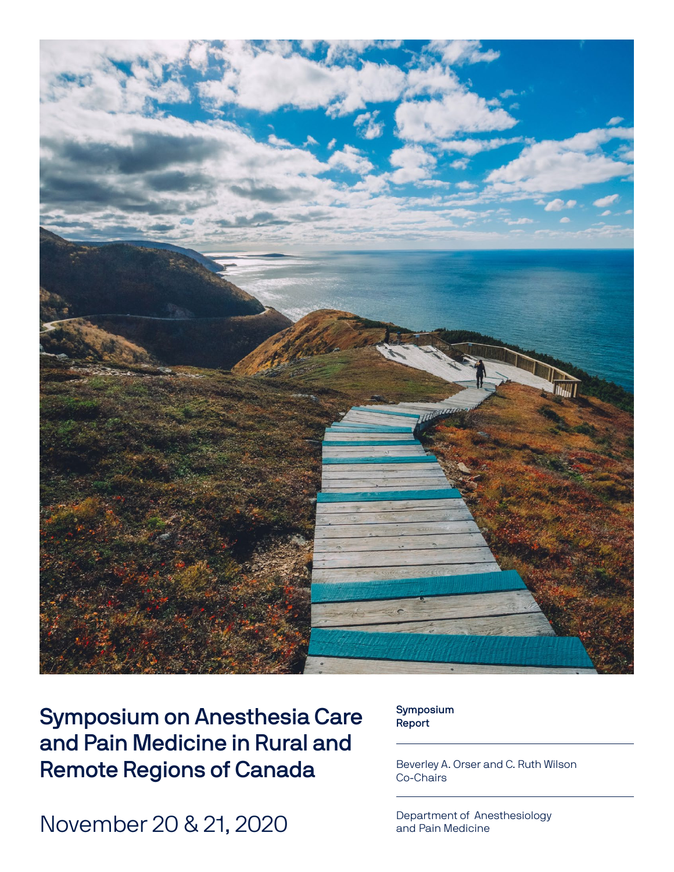

Symposium on Anesthesia Care and Pain Medicine in Rural and Remote Regions of Canada

November 20 & 21, 2020

Symposium Report

Beverley A. Orser and C. Ruth Wilson Co-Chairs

Department of Anesthesiology and Pain Medicine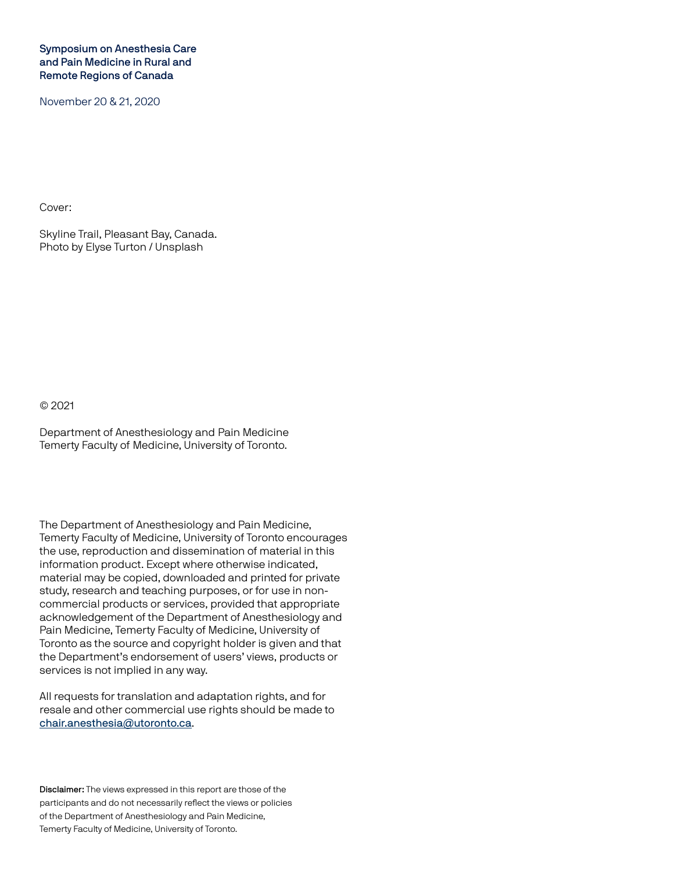#### Symposium on Anesthesia Care and Pain Medicine in Rural and Remote Regions of Canada

November 20 & 21, 2020

Cover:

Skyline Trail, Pleasant Bay, Canada. Photo by Elyse Turton / Unsplash

© 2021

Department of Anesthesiology and Pain Medicine Temerty Faculty of Medicine, University of Toronto.

The Department of Anesthesiology and Pain Medicine, Temerty Faculty of Medicine, University of Toronto encourages the use, reproduction and dissemination of material in this information product. Except where otherwise indicated, material may be copied, downloaded and printed for private study, research and teaching purposes, or for use in noncommercial products or services, provided that appropriate acknowledgement of the Department of Anesthesiology and Pain Medicine, Temerty Faculty of Medicine, University of Toronto as the source and copyright holder is given and that the Department's endorsement of users' views, products or services is not implied in any way.

All requests for translation and adaptation rights, and for resale and other commercial use rights should be made to chair.anesthesia@utoronto.ca.

Disclaimer: The views expressed in this report are those of the participants and do not necessarily reflect the views or policies of the Department of Anesthesiology and Pain Medicine, Temerty Faculty of Medicine, University of Toronto.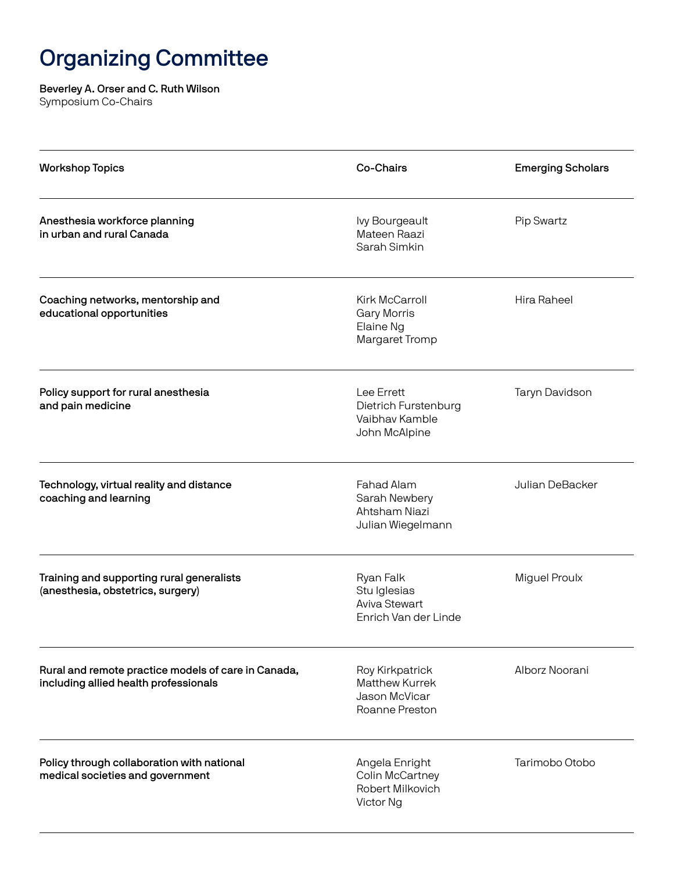## Organizing Committee

### Beverley A. Orser and C. Ruth Wilson

Symposium Co-Chairs

| <b>Workshop Topics</b>                                                                       | Co-Chairs                                                                   | <b>Emerging Scholars</b> |
|----------------------------------------------------------------------------------------------|-----------------------------------------------------------------------------|--------------------------|
| Anesthesia workforce planning<br>in urban and rural Canada                                   | <b>lvy Bourgeault</b><br>Mateen Raazi<br>Sarah Simkin                       | <b>Pip Swartz</b>        |
| Coaching networks, mentorship and<br>educational opportunities                               | Kirk McCarroll<br><b>Gary Morris</b><br>Elaine Ng<br>Margaret Tromp         | Hira Raheel              |
| Policy support for rural anesthesia<br>and pain medicine                                     | Lee Errett<br>Dietrich Furstenburg<br>Vaibhav Kamble<br>John McAlpine       | Taryn Davidson           |
| Technology, virtual reality and distance<br>coaching and learning                            | Fahad Alam<br>Sarah Newbery<br>Ahtsham Niazi<br>Julian Wiegelmann           | Julian DeBacker          |
| Training and supporting rural generalists<br>(anesthesia, obstetrics, surgery)               | Ryan Falk<br>Stu Iglesias<br><b>Aviva Stewart</b><br>Enrich Van der Linde   | <b>Miguel Proulx</b>     |
| Rural and remote practice models of care in Canada,<br>including allied health professionals | Roy Kirkpatrick<br><b>Matthew Kurrek</b><br>Jason McVicar<br>Roanne Preston | Alborz Noorani           |
| Policy through collaboration with national<br>medical societies and government               | Angela Enright<br>Colin McCartney<br>Robert Milkovich<br>Victor Ng          | Tarimobo Otobo           |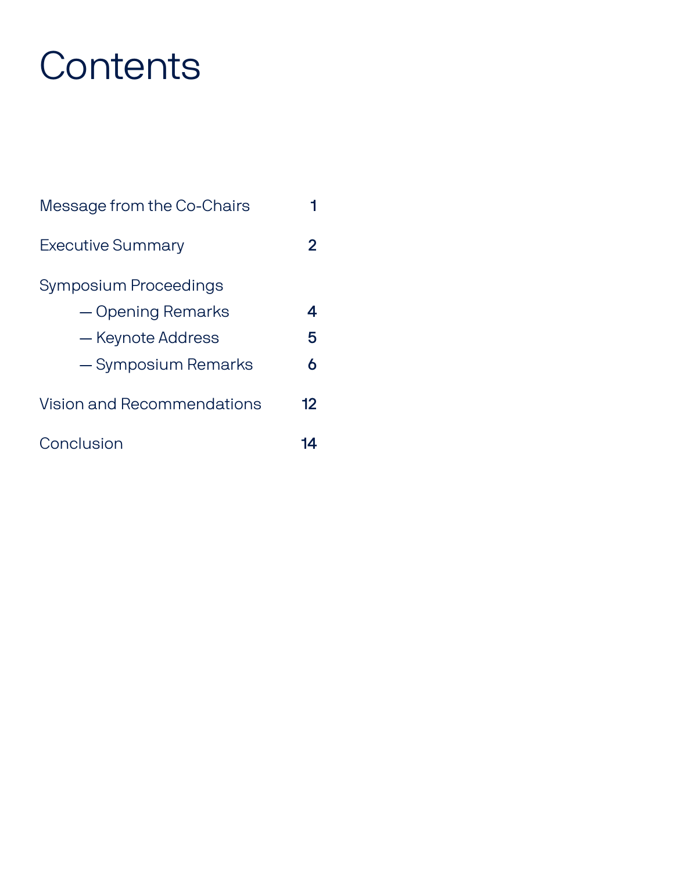# **Contents**

| Message from the Co-Chairs |    |
|----------------------------|----|
| <b>Executive Summary</b>   | 2  |
| Symposium Proceedings      |    |
| - Opening Remarks          | 4  |
| — Keynote Address          | 5  |
| - Symposium Remarks        | 6  |
| Vision and Recommendations | 12 |
| Conclusion                 | 14 |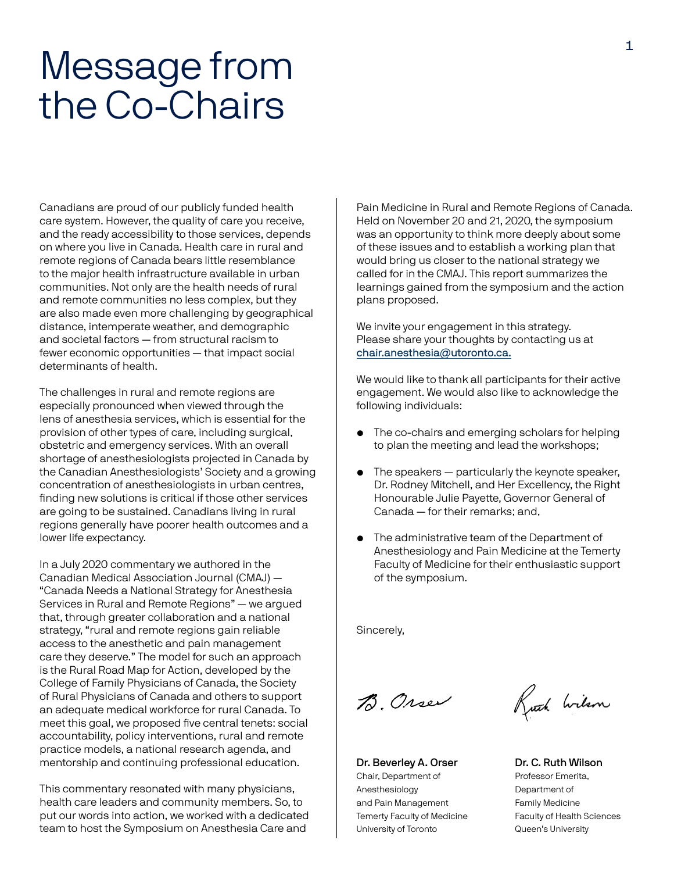## Message from the Co-Chairs

Canadians are proud of our publicly funded health care system. However, the quality of care you receive, and the ready accessibility to those services, depends on where you live in Canada. Health care in rural and remote regions of Canada bears little resemblance to the major health infrastructure available in urban communities. Not only are the health needs of rural and remote communities no less complex, but they are also made even more challenging by geographical distance, intemperate weather, and demographic and societal factors — from structural racism to fewer economic opportunities — that impact social determinants of health.

The challenges in rural and remote regions are especially pronounced when viewed through the lens of anesthesia services, which is essential for the provision of other types of care, including surgical, obstetric and emergency services. With an overall shortage of anesthesiologists projected in Canada by the Canadian Anesthesiologists' Society and a growing concentration of anesthesiologists in urban centres, finding new solutions is critical if those other services are going to be sustained. Canadians living in rural regions generally have poorer health outcomes and a lower life expectancy.

In a July 2020 commentary we authored in the Canadian Medical Association Journal (CMAJ) — "Canada Needs a National Strategy for Anesthesia Services in Rural and Remote Regions" — we argued that, through greater collaboration and a national strategy, "rural and remote regions gain reliable access to the anesthetic and pain management care they deserve." The model for such an approach is the Rural Road Map for Action, developed by the College of Family Physicians of Canada, the Society of Rural Physicians of Canada and others to support an adequate medical workforce for rural Canada. To meet this goal, we proposed five central tenets: social accountability, policy interventions, rural and remote practice models, a national research agenda, and mentorship and continuing professional education.

This commentary resonated with many physicians, health care leaders and community members. So, to put our words into action, we worked with a dedicated team to host the Symposium on Anesthesia Care and

Pain Medicine in Rural and Remote Regions of Canada. Held on November 20 and 21, 2020, the symposium was an opportunity to think more deeply about some of these issues and to establish a working plan that would bring us closer to the national strategy we called for in the CMAJ. This report summarizes the learnings gained from the symposium and the action plans proposed.

We invite your engagement in this strategy. Please share your thoughts by contacting us at chair.anesthesia@utoronto.ca.

We would like to thank all participants for their active engagement. We would also like to acknowledge the following individuals:

- The co-chairs and emerging scholars for helping to plan the meeting and lead the workshops;
- The speakers particularly the keynote speaker, Dr. Rodney Mitchell, and Her Excellency, the Right Honourable Julie Payette, Governor General of Canada — for their remarks; and,
- The administrative team of the Department of Anesthesiology and Pain Medicine at the Temerty Faculty of Medicine for their enthusiastic support of the symposium.

Sincerely,

B. Orser

Dr. Beverley A. Orser Chair, Department of Anesthesiology and Pain Management Temerty Faculty of Medicine University of Toronto

Kuth Wilson

Dr. C. Ruth Wilson Professor Emerita, Department of Family Medicine Faculty of Health Sciences Queen's University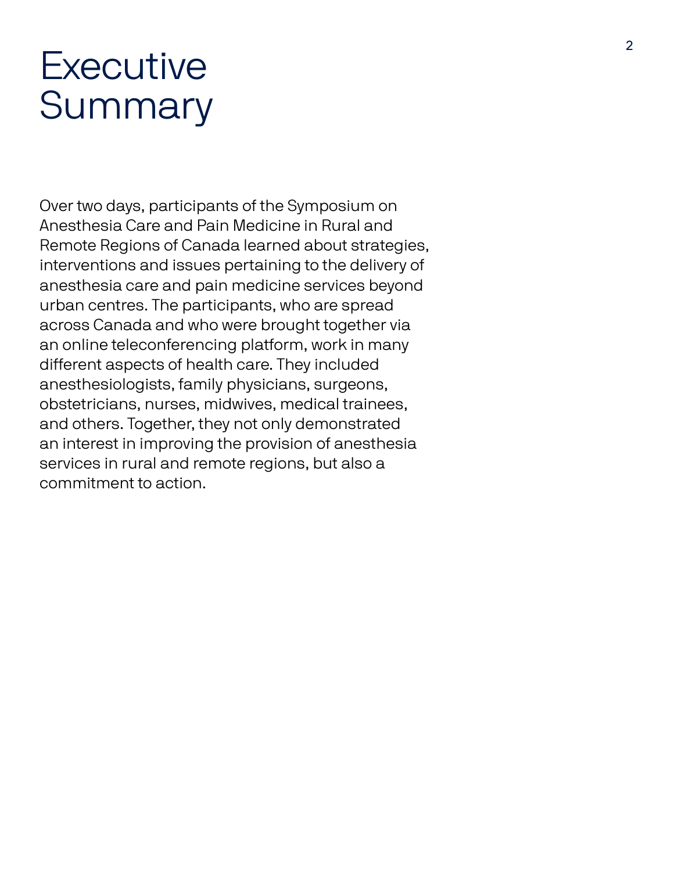## **Executive** Summary

Over two days, participants of the Symposium on Anesthesia Care and Pain Medicine in Rural and Remote Regions of Canada learned about strategies, interventions and issues pertaining to the delivery of anesthesia care and pain medicine services beyond urban centres. The participants, who are spread across Canada and who were brought together via an online teleconferencing platform, work in many different aspects of health care. They included anesthesiologists, family physicians, surgeons, obstetricians, nurses, midwives, medical trainees, and others. Together, they not only demonstrated an interest in improving the provision of anesthesia services in rural and remote regions, but also a commitment to action.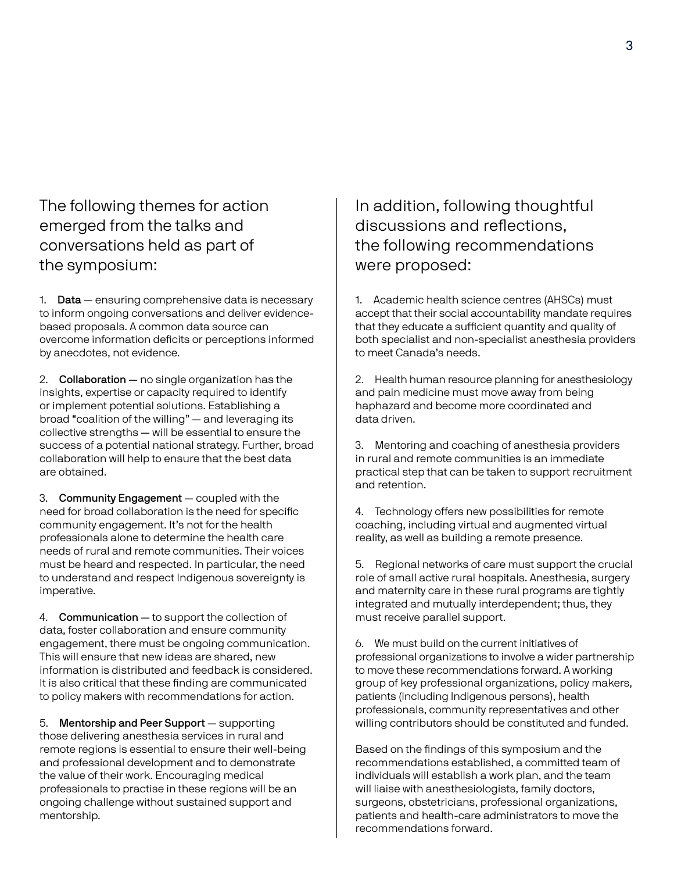The following themes for action emerged from the talks and conversations held as part of the symposium:

1. Data - ensuring comprehensive data is necessary to inform ongoing conversations and deliver evidencebased proposals. A common data source can overcome information deficits or perceptions informed by anecdotes, not evidence.

2. Collaboration - no single organization has the insights, expertise or capacity required to identify or implement potential solutions. Establishing a broad "coalition of the willing" — and leveraging its collective strengths — will be essential to ensure the success of a potential national strategy. Further, broad collaboration will help to ensure that the best data are obtained.

3. Community Engagement — coupled with the need for broad collaboration is the need for specific community engagement. It's not for the health professionals alone to determine the health care needs of rural and remote communities. Their voices must be heard and respected. In particular, the need to understand and respect Indigenous sovereignty is imperative.

4. Communication — to support the collection of data, foster collaboration and ensure community engagement, there must be ongoing communication. This will ensure that new ideas are shared, new information is distributed and feedback is considered. It is also critical that these finding are communicated to policy makers with recommendations for action.

5. Mentorship and Peer Support — supporting those delivering anesthesia services in rural and remote regions is essential to ensure their well-being and professional development and to demonstrate the value of their work. Encouraging medical professionals to practise in these regions will be an ongoing challenge without sustained support and mentorship.

In addition, following thoughtful discussions and reflections, the following recommendations were proposed:

1. Academic health science centres (AHSCs) must accept that their social accountability mandate requires that they educate a sufficient quantity and quality of both specialist and non-specialist anesthesia providers to meet Canada's needs.

2. Health human resource planning for anesthesiology and pain medicine must move away from being haphazard and become more coordinated and data driven.

3. Mentoring and coaching of anesthesia providers in rural and remote communities is an immediate practical step that can be taken to support recruitment and retention.

4. Technology offers new possibilities for remote coaching, including virtual and augmented virtual reality, as well as building a remote presence.

5. Regional networks of care must support the crucial role of small active rural hospitals. Anesthesia, surgery and maternity care in these rural programs are tightly integrated and mutually interdependent; thus, they must receive parallel support.

6. We must build on the current initiatives of professional organizations to involve a wider partnership to move these recommendations forward. A working group of key professional organizations, policy makers, patients (including Indigenous persons), health professionals, community representatives and other willing contributors should be constituted and funded.

Based on the findings of this symposium and the recommendations established, a committed team of individuals will establish a work plan, and the team will liaise with anesthesiologists, family doctors, surgeons, obstetricians, professional organizations, patients and health-care administrators to move the recommendations forward.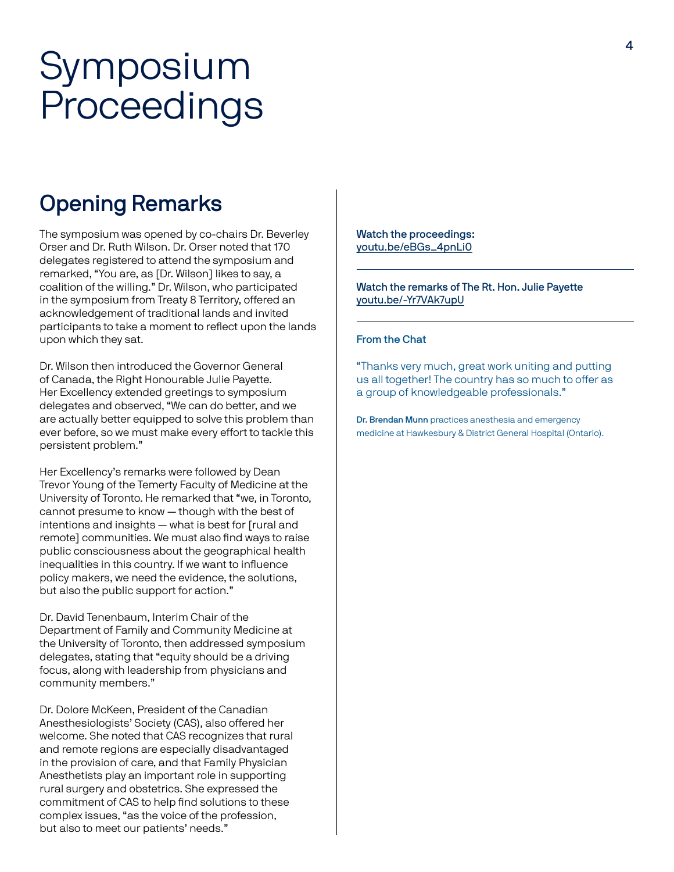## Symposium Proceedings

### Opening Remarks

The symposium was opened by co-chairs Dr. Beverley Orser and Dr. Ruth Wilson. Dr. Orser noted that 170 delegates registered to attend the symposium and remarked, "You are, as [Dr. Wilson] likes to say, a coalition of the willing." Dr. Wilson, who participated in the symposium from Treaty 8 Territory, offered an acknowledgement of traditional lands and invited participants to take a moment to reflect upon the lands upon which they sat.

Dr. Wilson then introduced the Governor General of Canada, the Right Honourable Julie Payette. Her Excellency extended greetings to symposium delegates and observed, "We can do better, and we are actually better equipped to solve this problem than ever before, so we must make every effort to tackle this persistent problem."

Her Excellency's remarks were followed by Dean Trevor Young of the Temerty Faculty of Medicine at the University of Toronto. He remarked that "we, in Toronto, cannot presume to know — though with the best of intentions and insights — what is best for [rural and remote] communities. We must also find ways to raise public consciousness about the geographical health inequalities in this country. If we want to influence policy makers, we need the evidence, the solutions, but also the public support for action."

Dr. David Tenenbaum, Interim Chair of the Department of Family and Community Medicine at the University of Toronto, then addressed symposium delegates, stating that "equity should be a driving focus, along with leadership from physicians and community members."

Dr. Dolore McKeen, President of the Canadian Anesthesiologists' Society (CAS), also offered her welcome. She noted that CAS recognizes that rural and remote regions are especially disadvantaged in the provision of care, and that Family Physician Anesthetists play an important role in supporting rural surgery and obstetrics. She expressed the commitment of CAS to help find solutions to these complex issues, "as the voice of the profession, but also to meet our patients' needs."

Watch the proceedings: youtu.be/eBGs\_4pnLi0

Watch the remarks of The Rt. Hon. Julie Payette youtu.be/-Yr7VAk7upU

#### From the Chat

"Thanks very much, great work uniting and putting us all together! The country has so much to offer as a group of knowledgeable professionals."

Dr. Brendan Munn practices anesthesia and emergency medicine at Hawkesbury & District General Hospital (Ontario).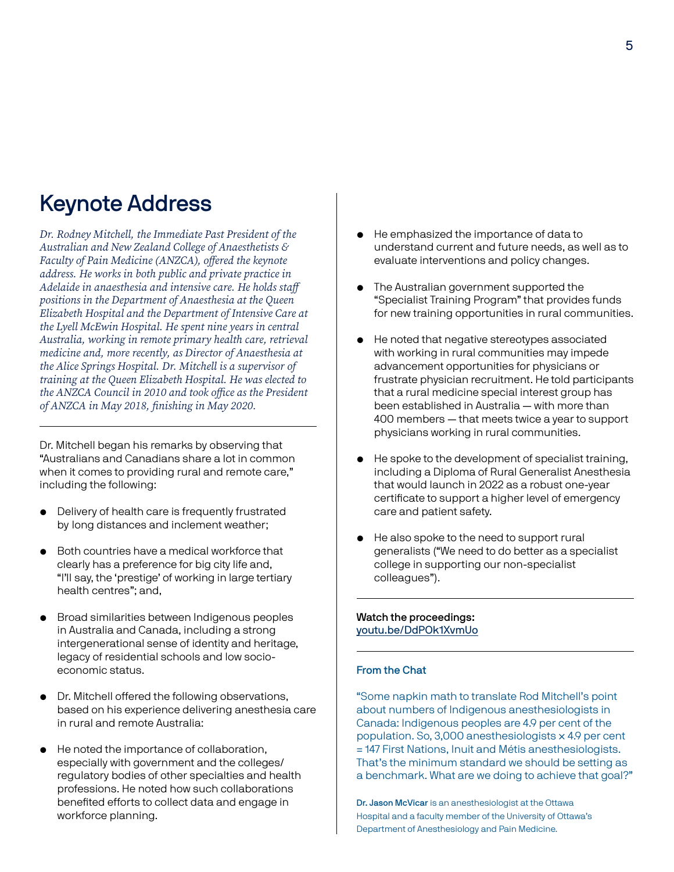### Keynote Address

*Dr. Rodney Mitchell, the Immediate Past President of the Australian and New Zealand College of Anaesthetists & Faculty of Pain Medicine (ANZCA), offered the keynote address. He works in both public and private practice in Adelaide in anaesthesia and intensive care. He holds staff positions in the Department of Anaesthesia at the Queen Elizabeth Hospital and the Department of Intensive Care at the Lyell McEwin Hospital. He spent nine years in central Australia, working in remote primary health care, retrieval medicine and, more recently, as Director of Anaesthesia at the Alice Springs Hospital. Dr. Mitchell is a supervisor of training at the Queen Elizabeth Hospital. He was elected to the ANZCA Council in 2010 and took office as the President of ANZCA in May 2018, finishing in May 2020.*

Dr. Mitchell began his remarks by observing that "Australians and Canadians share a lot in common when it comes to providing rural and remote care," including the following:

- Delivery of health care is frequently frustrated by long distances and inclement weather;
- Both countries have a medical workforce that clearly has a preference for big city life and, "I'll say, the 'prestige' of working in large tertiary health centres"; and,
- Broad similarities between Indigenous peoples in Australia and Canada, including a strong intergenerational sense of identity and heritage, legacy of residential schools and low socioeconomic status.
- Dr. Mitchell offered the following observations, based on his experience delivering anesthesia care in rural and remote Australia:
- He noted the importance of collaboration, especially with government and the colleges/ regulatory bodies of other specialties and health professions. He noted how such collaborations benefited efforts to collect data and engage in workforce planning.
- He emphasized the importance of data to understand current and future needs, as well as to evaluate interventions and policy changes.
- The Australian government supported the "Specialist Training Program" that provides funds for new training opportunities in rural communities.
- He noted that negative stereotypes associated with working in rural communities may impede advancement opportunities for physicians or frustrate physician recruitment. He told participants that a rural medicine special interest group has been established in Australia — with more than 400 members — that meets twice a year to support physicians working in rural communities.
- He spoke to the development of specialist training, including a Diploma of Rural Generalist Anesthesia that would launch in 2022 as a robust one-year certificate to support a higher level of emergency care and patient safety.
- He also spoke to the need to support rural generalists ("We need to do better as a specialist college in supporting our non-specialist colleagues").

#### Watch the proceedings: youtu.be/DdPOk1XvmUo

#### From the Chat

"Some napkin math to translate Rod Mitchell's point about numbers of Indigenous anesthesiologists in Canada: Indigenous peoples are 4.9 per cent of the population. So, 3,000 anesthesiologists × 4.9 per cent = 147 First Nations, Inuit and Métis anesthesiologists. That's the minimum standard we should be setting as a benchmark. What are we doing to achieve that goal?"

Dr. Jason McVicar is an anesthesiologist at the Ottawa Hospital and a faculty member of the University of Ottawa's Department of Anesthesiology and Pain Medicine.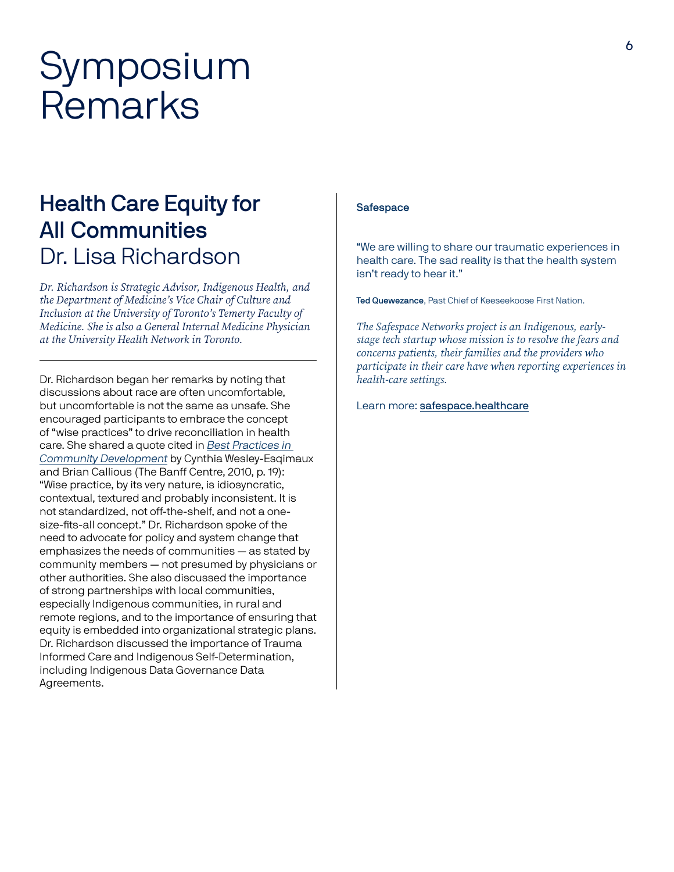## Symposium Remarks

### Health Care Equity for All Communities Dr. Lisa Richardson

*Dr. Richardson is Strategic Advisor, Indigenous Health, and the Department of Medicine's Vice Chair of Culture and Inclusion at the University of Toronto's Temerty Faculty of Medicine. She is also a General Internal Medicine Physician at the University Health Network in Toronto.* 

Dr. Richardson began her remarks by noting that discussions about race are often uncomfortable, but uncomfortable is not the same as unsafe. She encouraged participants to embrace the concept of "wise practices" to drive reconciliation in health care. She shared a quote cited in Best Practices in Community Development by Cynthia Wesley-Esqimaux and Brian Callious (The Banff Centre, 2010, p. 19): "Wise practice, by its very nature, is idiosyncratic, contextual, textured and probably inconsistent. It is not standardized, not off-the-shelf, and not a onesize-fits-all concept." Dr. Richardson spoke of the need to advocate for policy and system change that emphasizes the needs of communities — as stated by community members — not presumed by physicians or other authorities. She also discussed the importance of strong partnerships with local communities, especially Indigenous communities, in rural and remote regions, and to the importance of ensuring that equity is embedded into organizational strategic plans. Dr. Richardson discussed the importance of Trauma Informed Care and Indigenous Self-Determination, including Indigenous Data Governance Data Agreements.

#### **Safespace**

"We are willing to share our traumatic experiences in health care. The sad reality is that the health system isn't ready to hear it."

Ted Quewezance, Past Chief of Keeseekoose First Nation.

*The Safespace Networks project is an Indigenous, earlystage tech startup whose mission is to resolve the fears and concerns patients, their families and the providers who participate in their care have when reporting experiences in health-care settings.* 

Learn more: safespace.healthcare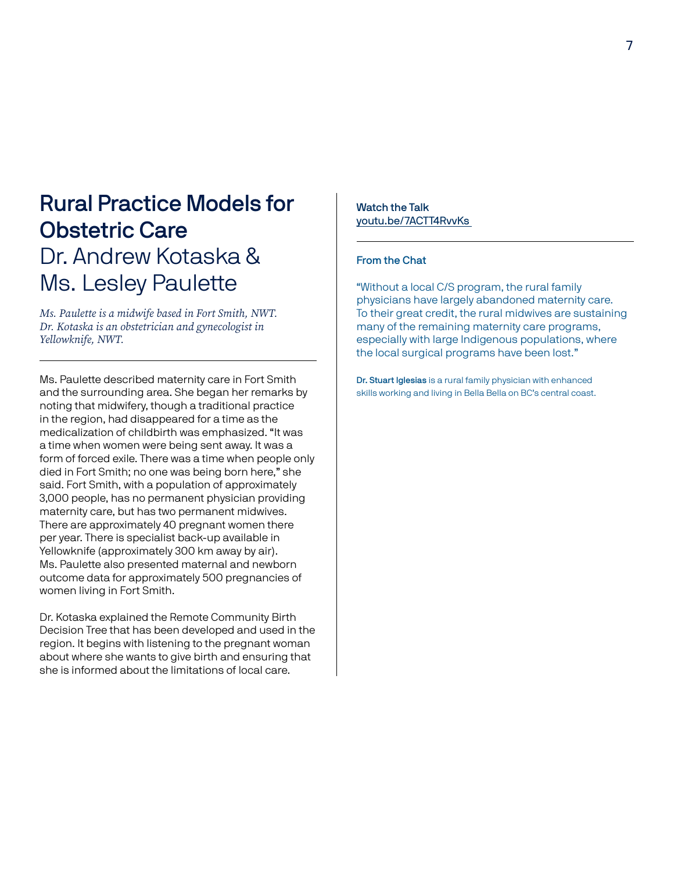### Rural Practice Models for Obstetric Care Dr. Andrew Kotaska & Ms. Lesley Paulette

*Ms. Paulette is a midwife based in Fort Smith, NWT. Dr. Kotaska is an obstetrician and gynecologist in Yellowknife, NWT.* 

Ms. Paulette described maternity care in Fort Smith and the surrounding area. She began her remarks by noting that midwifery, though a traditional practice in the region, had disappeared for a time as the medicalization of childbirth was emphasized. "It was a time when women were being sent away. It was a form of forced exile. There was a time when people only died in Fort Smith; no one was being born here," she said. Fort Smith, with a population of approximately 3,000 people, has no permanent physician providing maternity care, but has two permanent midwives. There are approximately 40 pregnant women there per year. There is specialist back-up available in Yellowknife (approximately 300 km away by air). Ms. Paulette also presented maternal and newborn outcome data for approximately 500 pregnancies of women living in Fort Smith.

Dr. Kotaska explained the Remote Community Birth Decision Tree that has been developed and used in the region. It begins with listening to the pregnant woman about where she wants to give birth and ensuring that she is informed about the limitations of local care.

Watch the Talk youtu.be/7ACTT4RvvKs

#### From the Chat

"Without a local C/S program, the rural family physicians have largely abandoned maternity care. To their great credit, the rural midwives are sustaining many of the remaining maternity care programs, especially with large Indigenous populations, where the local surgical programs have been lost."

Dr. Stuart Iglesias is a rural family physician with enhanced skills working and living in Bella Bella on BC's central coast.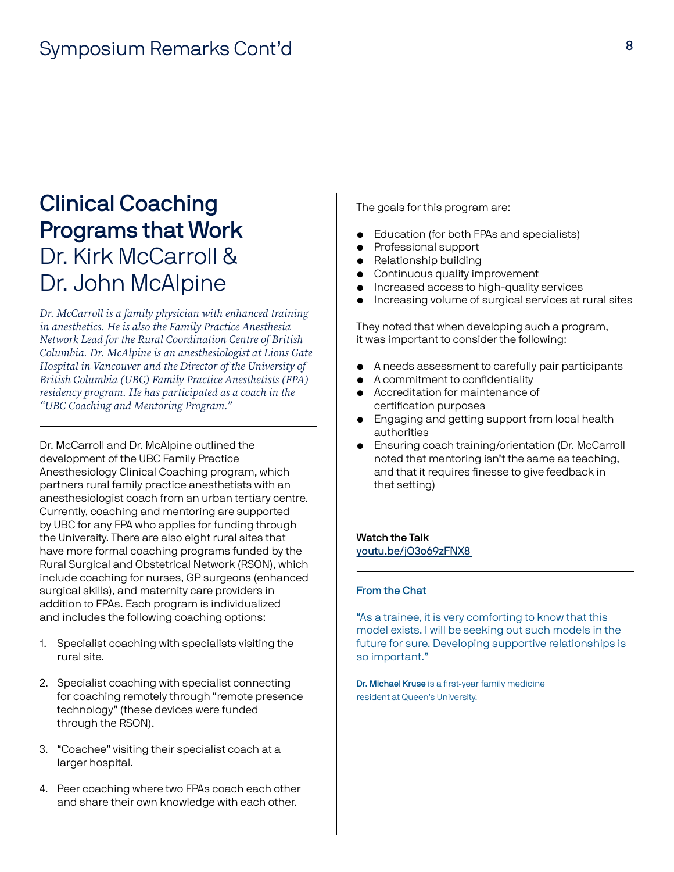### Clinical Coaching Programs that Work Dr. Kirk McCarroll & Dr. John McAlpine

*Dr. McCarroll is a family physician with enhanced training in anesthetics. He is also the Family Practice Anesthesia Network Lead for the Rural Coordination Centre of British Columbia. Dr. McAlpine is an anesthesiologist at Lions Gate Hospital in Vancouver and the Director of the University of British Columbia (UBC) Family Practice Anesthetists (FPA) residency program. He has participated as a coach in the "UBC Coaching and Mentoring Program."*

Dr. McCarroll and Dr. McAlpine outlined the development of the UBC Family Practice Anesthesiology Clinical Coaching program, which partners rural family practice anesthetists with an anesthesiologist coach from an urban tertiary centre. Currently, coaching and mentoring are supported by UBC for any FPA who applies for funding through the University. There are also eight rural sites that have more formal coaching programs funded by the Rural Surgical and Obstetrical Network (RSON), which include coaching for nurses, GP surgeons (enhanced surgical skills), and maternity care providers in addition to FPAs. Each program is individualized and includes the following coaching options:

- 1. Specialist coaching with specialists visiting the rural site.
- 2. Specialist coaching with specialist connecting for coaching remotely through "remote presence technology" (these devices were funded through the RSON).
- 3. "Coachee" visiting their specialist coach at a larger hospital.
- 4. Peer coaching where two FPAs coach each other and share their own knowledge with each other.

The goals for this program are:

- Education (for both FPAs and specialists)
- Professional support
- Relationship building
- Continuous quality improvement
- Increased access to high-quality services
- Increasing volume of surgical services at rural sites

They noted that when developing such a program, it was important to consider the following:

- A needs assessment to carefully pair participants
- A commitment to confidentiality
- Accreditation for maintenance of certification purposes
- Engaging and getting support from local health authorities
- Ensuring coach training/orientation (Dr. McCarroll noted that mentoring isn't the same as teaching, and that it requires finesse to give feedback in that setting)

#### Watch the Talk youtu.be/jO3o69zFNX8

#### From the Chat

"As a trainee, it is very comforting to know that this model exists. I will be seeking out such models in the future for sure. Developing supportive relationships is so important."

Dr. Michael Kruse is a first-year family medicine resident at Queen's University.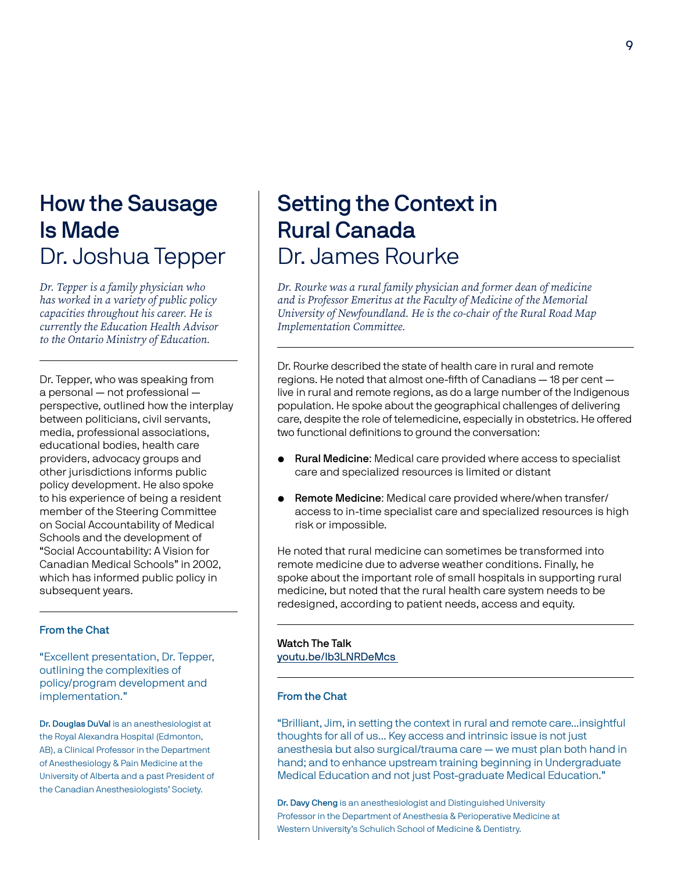## How the Sausage Is Made Dr. Joshua Tepper

*Dr. Tepper is a family physician who has worked in a variety of public policy capacities throughout his career. He is currently the Education Health Advisor to the Ontario Ministry of Education.* 

Dr. Tepper, who was speaking from a personal — not professional perspective, outlined how the interplay between politicians, civil servants, media, professional associations, educational bodies, health care providers, advocacy groups and other jurisdictions informs public policy development. He also spoke to his experience of being a resident member of the Steering Committee on Social Accountability of Medical Schools and the development of "Social Accountability: A Vision for Canadian Medical Schools" in 2002, which has informed public policy in subsequent years.

#### From the Chat

"Excellent presentation, Dr. Tepper, outlining the complexities of policy/program development and implementation."

Dr. Douglas DuVal is an anesthesiologist at the Royal Alexandra Hospital (Edmonton, AB), a Clinical Professor in the Department of Anesthesiology & Pain Medicine at the University of Alberta and a past President of the Canadian Anesthesiologists' Society.

### Setting the Context in Rural Canada Dr. James Rourke

*Dr. Rourke was a rural family physician and former dean of medicine and is Professor Emeritus at the Faculty of Medicine of the Memorial University of Newfoundland. He is the co-chair of the Rural Road Map Implementation Committee.*

Dr. Rourke described the state of health care in rural and remote regions. He noted that almost one-fifth of Canadians — 18 per cent live in rural and remote regions, as do a large number of the Indigenous population. He spoke about the geographical challenges of delivering care, despite the role of telemedicine, especially in obstetrics. He offered two functional definitions to ground the conversation:

- Rural Medicine: Medical care provided where access to specialist care and specialized resources is limited or distant
- Remote Medicine: Medical care provided where/when transfer/ access to in-time specialist care and specialized resources is high risk or impossible.

He noted that rural medicine can sometimes be transformed into remote medicine due to adverse weather conditions. Finally, he spoke about the important role of small hospitals in supporting rural medicine, but noted that the rural health care system needs to be redesigned, according to patient needs, access and equity.

#### Watch The Talk youtu.be/lb3LNRDeMcs

#### From the Chat

"Brilliant, Jim, in setting the context in rural and remote care...insightful thoughts for all of us... Key access and intrinsic issue is not just anesthesia but also surgical/trauma care — we must plan both hand in hand; and to enhance upstream training beginning in Undergraduate Medical Education and not just Post-graduate Medical Education."

Dr. Davy Cheng is an anesthesiologist and Distinguished University Professor in the Department of Anesthesia & Perioperative Medicine at Western University's Schulich School of Medicine & Dentistry.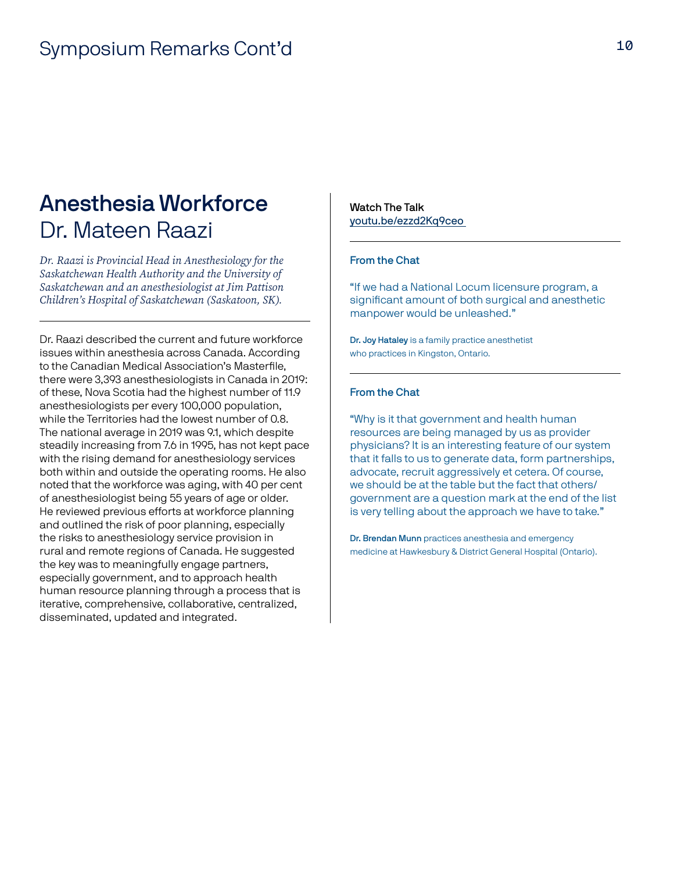### Anesthesia Workforce Dr. Mateen Raazi

*Dr. Raazi is Provincial Head in Anesthesiology for the Saskatchewan Health Authority and the University of Saskatchewan and an anesthesiologist at Jim Pattison Children's Hospital of Saskatchewan (Saskatoon, SK).*

Dr. Raazi described the current and future workforce issues within anesthesia across Canada. According to the Canadian Medical Association's Masterfile, there were 3,393 anesthesiologists in Canada in 2019: of these, Nova Scotia had the highest number of 11.9 anesthesiologists per every 100,000 population, while the Territories had the lowest number of 0.8. The national average in 2019 was 9.1, which despite steadily increasing from 7.6 in 1995, has not kept pace with the rising demand for anesthesiology services both within and outside the operating rooms. He also noted that the workforce was aging, with 40 per cent of anesthesiologist being 55 years of age or older. He reviewed previous efforts at workforce planning and outlined the risk of poor planning, especially the risks to anesthesiology service provision in rural and remote regions of Canada. He suggested the key was to meaningfully engage partners, especially government, and to approach health human resource planning through a process that is iterative, comprehensive, collaborative, centralized, disseminated, updated and integrated.

Watch The Talk youtu.be/ezzd2Kq9ceo

#### From the Chat

"If we had a National Locum licensure program, a significant amount of both surgical and anesthetic manpower would be unleashed."

Dr. Joy Hataley is a family practice anesthetist who practices in Kingston, Ontario.

#### From the Chat

"Why is it that government and health human resources are being managed by us as provider physicians? It is an interesting feature of our system that it falls to us to generate data, form partnerships, advocate, recruit aggressively et cetera. Of course, we should be at the table but the fact that others/ government are a question mark at the end of the list is very telling about the approach we have to take."

Dr. Brendan Munn practices anesthesia and emergency medicine at Hawkesbury & District General Hospital (Ontario).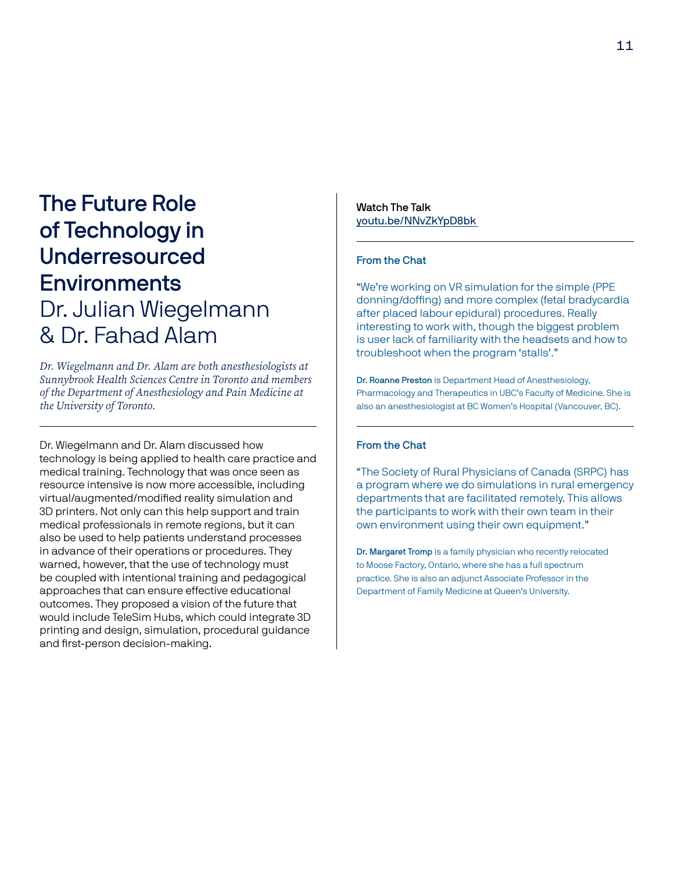### The Future Role of Technology in Underresourced **Environments** Dr. Julian Wiegelmann & Dr. Fahad Alam

*Dr. Wiegelmann and Dr. Alam are both anesthesiologists at Sunnybrook Health Sciences Centre in Toronto and members of the Department of Anesthesiology and Pain Medicine at the University of Toronto.*

Dr. Wiegelmann and Dr. Alam discussed how technology is being applied to health care practice and medical training. Technology that was once seen as resource intensive is now more accessible, including virtual/augmented/modified reality simulation and 3D printers. Not only can this help support and train medical professionals in remote regions, but it can also be used to help patients understand processes in advance of their operations or procedures. They warned, however, that the use of technology must be coupled with intentional training and pedagogical approaches that can ensure effective educational outcomes. They proposed a vision of the future that would include TeleSim Hubs, which could integrate 3D printing and design, simulation, procedural guidance and first-person decision-making.

Watch The Talk youtu.be/NNvZkYpD8bk

#### From the Chat

"We're working on VR simulation for the simple (PPE donning/doffing) and more complex (fetal bradycardia after placed labour epidural) procedures. Really interesting to work with, though the biggest problem is user lack of familiarity with the headsets and how to troubleshoot when the program 'stalls'."

Dr. Roanne Preston is Department Head of Anesthesiology, Pharmacology and Therapeutics in UBC's Faculty of Medicine. She is also an anesthesiologist at BC Women's Hospital (Vancouver, BC).

#### From the Chat

"The Society of Rural Physicians of Canada (SRPC) has a program where we do simulations in rural emergency departments that are facilitated remotely. This allows the participants to work with their own team in their own environment using their own equipment."

Dr. Margaret Tromp is a family physician who recently relocated to Moose Factory, Ontario, where she has a full spectrum practice. She is also an adjunct Associate Professor in the Department of Family Medicine at Queen's University.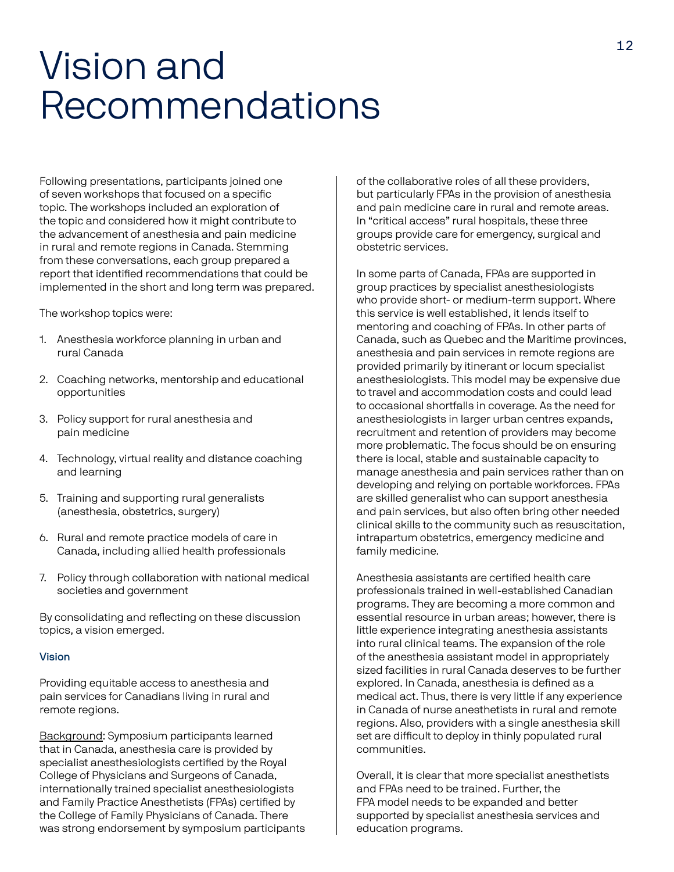## Vision and Recommendations

Following presentations, participants joined one of seven workshops that focused on a specific topic. The workshops included an exploration of the topic and considered how it might contribute to the advancement of anesthesia and pain medicine in rural and remote regions in Canada. Stemming from these conversations, each group prepared a report that identified recommendations that could be implemented in the short and long term was prepared.

The workshop topics were:

- 1. Anesthesia workforce planning in urban and rural Canada
- 2. Coaching networks, mentorship and educational opportunities
- 3. Policy support for rural anesthesia and pain medicine
- 4. Technology, virtual reality and distance coaching and learning
- 5. Training and supporting rural generalists (anesthesia, obstetrics, surgery)
- 6. Rural and remote practice models of care in Canada, including allied health professionals
- 7. Policy through collaboration with national medical societies and government

By consolidating and reflecting on these discussion topics, a vision emerged.

#### Vision

Providing equitable access to anesthesia and pain services for Canadians living in rural and remote regions.

Background: Symposium participants learned that in Canada, anesthesia care is provided by specialist anesthesiologists certified by the Royal College of Physicians and Surgeons of Canada, internationally trained specialist anesthesiologists and Family Practice Anesthetists (FPAs) certified by the College of Family Physicians of Canada. There was strong endorsement by symposium participants of the collaborative roles of all these providers, but particularly FPAs in the provision of anesthesia and pain medicine care in rural and remote areas. In "critical access" rural hospitals, these three groups provide care for emergency, surgical and obstetric services.

In some parts of Canada, FPAs are supported in group practices by specialist anesthesiologists who provide short- or medium-term support. Where this service is well established, it lends itself to mentoring and coaching of FPAs. In other parts of Canada, such as Quebec and the Maritime provinces, anesthesia and pain services in remote regions are provided primarily by itinerant or locum specialist anesthesiologists. This model may be expensive due to travel and accommodation costs and could lead to occasional shortfalls in coverage. As the need for anesthesiologists in larger urban centres expands, recruitment and retention of providers may become more problematic. The focus should be on ensuring there is local, stable and sustainable capacity to manage anesthesia and pain services rather than on developing and relying on portable workforces. FPAs are skilled generalist who can support anesthesia and pain services, but also often bring other needed clinical skills to the community such as resuscitation, intrapartum obstetrics, emergency medicine and family medicine.

Anesthesia assistants are certified health care professionals trained in well-established Canadian programs. They are becoming a more common and essential resource in urban areas; however, there is little experience integrating anesthesia assistants into rural clinical teams. The expansion of the role of the anesthesia assistant model in appropriately sized facilities in rural Canada deserves to be further explored. In Canada, anesthesia is defined as a medical act. Thus, there is very little if any experience in Canada of nurse anesthetists in rural and remote regions. Also, providers with a single anesthesia skill set are difficult to deploy in thinly populated rural communities.

Overall, it is clear that more specialist anesthetists and FPAs need to be trained. Further, the FPA model needs to be expanded and better supported by specialist anesthesia services and education programs.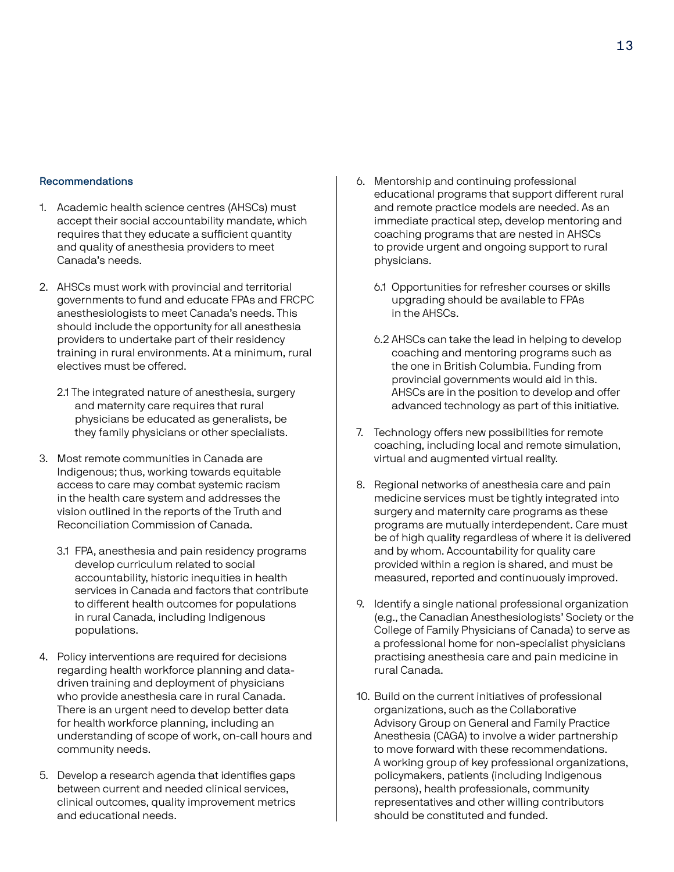#### Recommendations

- 1. Academic health science centres (AHSCs) must accept their social accountability mandate, which requires that they educate a sufficient quantity and quality of anesthesia providers to meet Canada's needs.
- 2. AHSCs must work with provincial and territorial governments to fund and educate FPAs and FRCPC anesthesiologists to meet Canada's needs. This should include the opportunity for all anesthesia providers to undertake part of their residency training in rural environments. At a minimum, rural electives must be offered.
	- 2.1 The integrated nature of anesthesia, surgery and maternity care requires that rural physicians be educated as generalists, be they family physicians or other specialists.
- 3. Most remote communities in Canada are Indigenous; thus, working towards equitable access to care may combat systemic racism in the health care system and addresses the vision outlined in the reports of the Truth and Reconciliation Commission of Canada.
	- 3.1 FPA, anesthesia and pain residency programs develop curriculum related to social accountability, historic inequities in health services in Canada and factors that contribute to different health outcomes for populations in rural Canada, including Indigenous populations.
- 4. Policy interventions are required for decisions regarding health workforce planning and datadriven training and deployment of physicians who provide anesthesia care in rural Canada. There is an urgent need to develop better data for health workforce planning, including an understanding of scope of work, on-call hours and community needs.
- 5. Develop a research agenda that identifies gaps between current and needed clinical services, clinical outcomes, quality improvement metrics and educational needs.
- 6. Mentorship and continuing professional educational programs that support different rural and remote practice models are needed. As an immediate practical step, develop mentoring and coaching programs that are nested in AHSCs to provide urgent and ongoing support to rural physicians.
	- 6.1 Opportunities for refresher courses or skills upgrading should be available to FPAs in the AHSCs.
	- 6.2 AHSCs can take the lead in helping to develop coaching and mentoring programs such as the one in British Columbia. Funding from provincial governments would aid in this. AHSCs are in the position to develop and offer advanced technology as part of this initiative.
- 7. Technology offers new possibilities for remote coaching, including local and remote simulation, virtual and augmented virtual reality.
- 8. Regional networks of anesthesia care and pain medicine services must be tightly integrated into surgery and maternity care programs as these programs are mutually interdependent. Care must be of high quality regardless of where it is delivered and by whom. Accountability for quality care provided within a region is shared, and must be measured, reported and continuously improved.
- 9. Identify a single national professional organization (e.g., the Canadian Anesthesiologists' Society or the College of Family Physicians of Canada) to serve as a professional home for non-specialist physicians practising anesthesia care and pain medicine in rural Canada.
- 10. Build on the current initiatives of professional organizations, such as the Collaborative Advisory Group on General and Family Practice Anesthesia (CAGA) to involve a wider partnership to move forward with these recommendations. A working group of key professional organizations, policymakers, patients (including Indigenous persons), health professionals, community representatives and other willing contributors should be constituted and funded.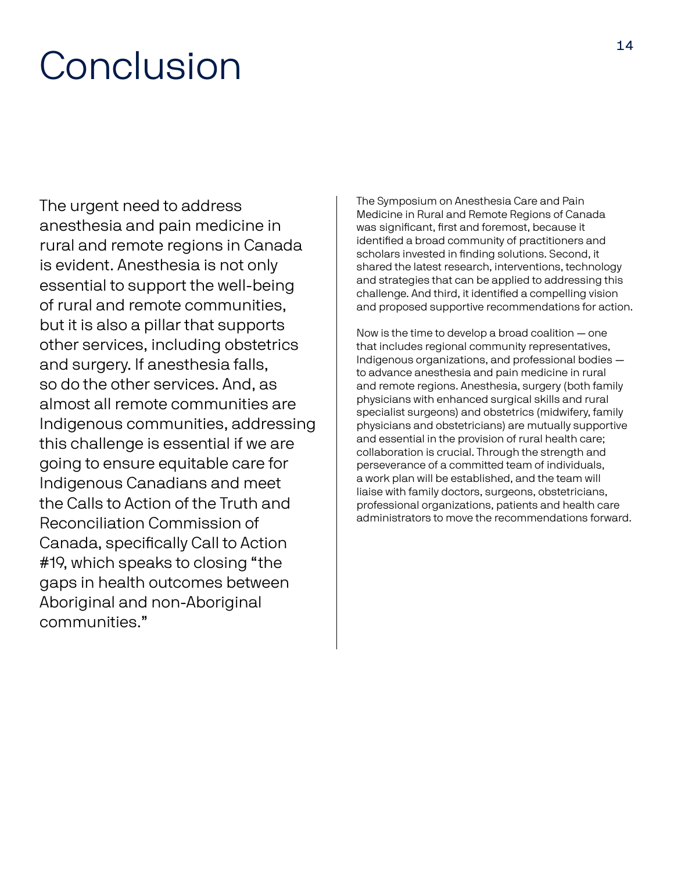# Conclusion

The urgent need to address anesthesia and pain medicine in rural and remote regions in Canada is evident. Anesthesia is not only essential to support the well-being of rural and remote communities, but it is also a pillar that supports other services, including obstetrics and surgery. If anesthesia falls, so do the other services. And, as almost all remote communities are Indigenous communities, addressing this challenge is essential if we are going to ensure equitable care for Indigenous Canadians and meet the Calls to Action of the Truth and Reconciliation Commission of Canada, specifically Call to Action #19, which speaks to closing "the gaps in health outcomes between Aboriginal and non-Aboriginal communities."

The Symposium on Anesthesia Care and Pain Medicine in Rural and Remote Regions of Canada was significant, first and foremost, because it identified a broad community of practitioners and scholars invested in finding solutions. Second, it shared the latest research, interventions, technology and strategies that can be applied to addressing this challenge. And third, it identified a compelling vision and proposed supportive recommendations for action.

Now is the time to develop a broad coalition — one that includes regional community representatives, Indigenous organizations, and professional bodies to advance anesthesia and pain medicine in rural and remote regions. Anesthesia, surgery (both family physicians with enhanced surgical skills and rural specialist surgeons) and obstetrics (midwifery, family physicians and obstetricians) are mutually supportive and essential in the provision of rural health care; collaboration is crucial. Through the strength and perseverance of a committed team of individuals, a work plan will be established, and the team will liaise with family doctors, surgeons, obstetricians, professional organizations, patients and health care administrators to move the recommendations forward.